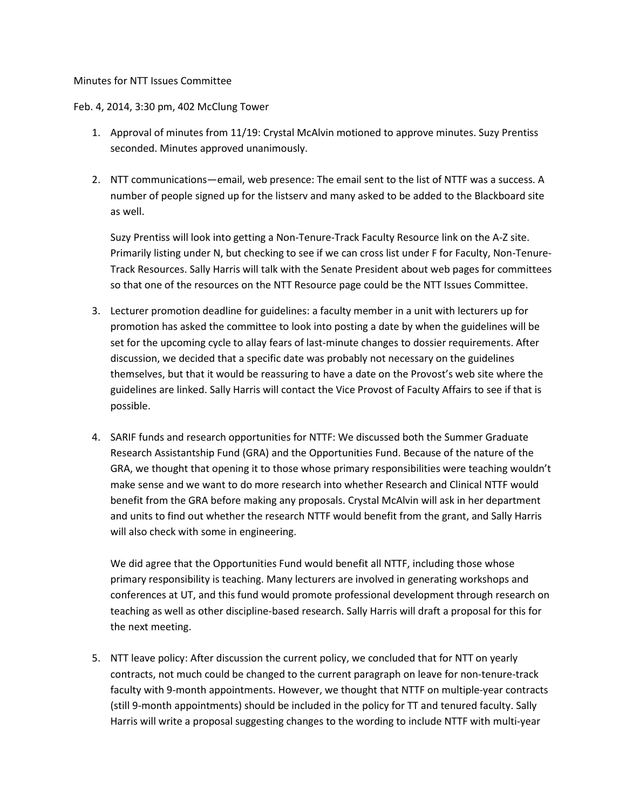## Minutes for NTT Issues Committee

## Feb. 4, 2014, 3:30 pm, 402 McClung Tower

- 1. Approval of minutes from 11/19: Crystal McAlvin motioned to approve minutes. Suzy Prentiss seconded. Minutes approved unanimously.
- 2. NTT communications—email, web presence: The email sent to the list of NTTF was a success. A number of people signed up for the listserv and many asked to be added to the Blackboard site as well.

Suzy Prentiss will look into getting a Non-Tenure-Track Faculty Resource link on the A-Z site. Primarily listing under N, but checking to see if we can cross list under F for Faculty, Non-Tenure-Track Resources. Sally Harris will talk with the Senate President about web pages for committees so that one of the resources on the NTT Resource page could be the NTT Issues Committee.

- 3. Lecturer promotion deadline for guidelines: a faculty member in a unit with lecturers up for promotion has asked the committee to look into posting a date by when the guidelines will be set for the upcoming cycle to allay fears of last-minute changes to dossier requirements. After discussion, we decided that a specific date was probably not necessary on the guidelines themselves, but that it would be reassuring to have a date on the Provost's web site where the guidelines are linked. Sally Harris will contact the Vice Provost of Faculty Affairs to see if that is possible.
- 4. SARIF funds and research opportunities for NTTF: We discussed both the Summer Graduate Research Assistantship Fund (GRA) and the Opportunities Fund. Because of the nature of the GRA, we thought that opening it to those whose primary responsibilities were teaching wouldn't make sense and we want to do more research into whether Research and Clinical NTTF would benefit from the GRA before making any proposals. Crystal McAlvin will ask in her department and units to find out whether the research NTTF would benefit from the grant, and Sally Harris will also check with some in engineering.

We did agree that the Opportunities Fund would benefit all NTTF, including those whose primary responsibility is teaching. Many lecturers are involved in generating workshops and conferences at UT, and this fund would promote professional development through research on teaching as well as other discipline-based research. Sally Harris will draft a proposal for this for the next meeting.

5. NTT leave policy: After discussion the current policy, we concluded that for NTT on yearly contracts, not much could be changed to the current paragraph on leave for non-tenure-track faculty with 9-month appointments. However, we thought that NTTF on multiple-year contracts (still 9-month appointments) should be included in the policy for TT and tenured faculty. Sally Harris will write a proposal suggesting changes to the wording to include NTTF with multi-year